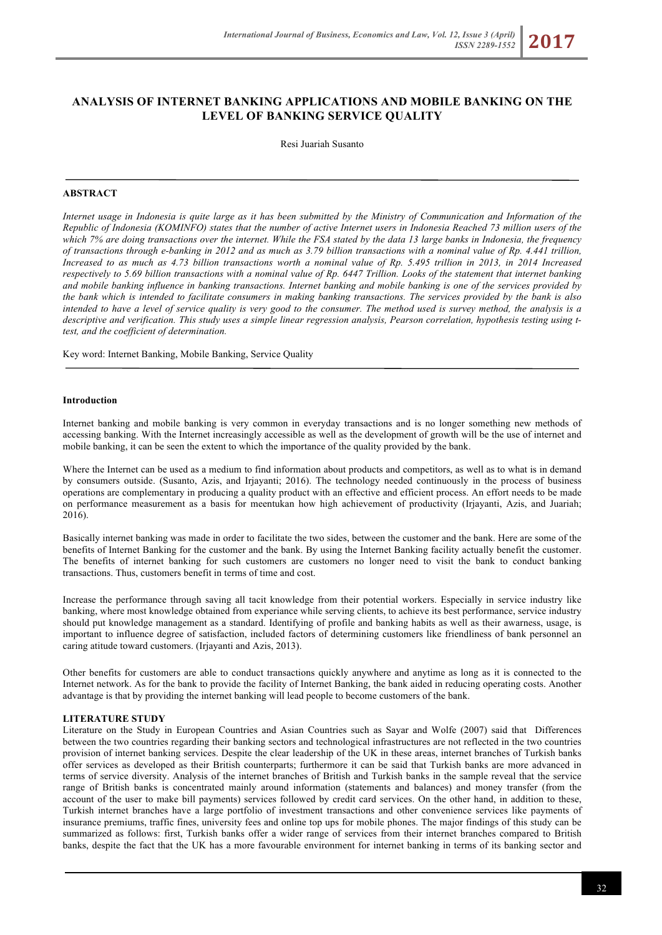# **ANALYSIS OF INTERNET BANKING APPLICATIONS AND MOBILE BANKING ON THE LEVEL OF BANKING SERVICE QUALITY**

Resi Juariah Susanto

### **ABSTRACT**

*Internet usage in Indonesia is quite large as it has been submitted by the Ministry of Communication and Information of the Republic of Indonesia (KOMINFO) states that the number of active Internet users in Indonesia Reached 73 million users of the which 7% are doing transactions over the internet. While the FSA stated by the data 13 large banks in Indonesia, the frequency of transactions through e-banking in 2012 and as much as 3.79 billion transactions with a nominal value of Rp. 4.441 trillion, Increased to as much as 4.73 billion transactions worth a nominal value of Rp. 5.495 trillion in 2013, in 2014 Increased respectively to 5.69 billion transactions with a nominal value of Rp. 6447 Trillion. Looks of the statement that internet banking and mobile banking influence in banking transactions. Internet banking and mobile banking is one of the services provided by the bank which is intended to facilitate consumers in making banking transactions. The services provided by the bank is also intended to have a level of service quality is very good to the consumer. The method used is survey method, the analysis is a descriptive and verification. This study uses a simple linear regression analysis, Pearson correlation, hypothesis testing using ttest, and the coefficient of determination.*

Key word: Internet Banking, Mobile Banking, Service Quality

#### **Introduction**

Internet banking and mobile banking is very common in everyday transactions and is no longer something new methods of accessing banking. With the Internet increasingly accessible as well as the development of growth will be the use of internet and mobile banking, it can be seen the extent to which the importance of the quality provided by the bank.

Where the Internet can be used as a medium to find information about products and competitors, as well as to what is in demand by consumers outside. (Susanto, Azis, and Irjayanti; 2016). The technology needed continuously in the process of business operations are complementary in producing a quality product with an effective and efficient process. An effort needs to be made on performance measurement as a basis for meentukan how high achievement of productivity (Irjayanti, Azis, and Juariah; 2016).

Basically internet banking was made in order to facilitate the two sides, between the customer and the bank. Here are some of the benefits of Internet Banking for the customer and the bank. By using the Internet Banking facility actually benefit the customer. The benefits of internet banking for such customers are customers no longer need to visit the bank to conduct banking transactions. Thus, customers benefit in terms of time and cost.

Increase the performance through saving all tacit knowledge from their potential workers. Especially in service industry like banking, where most knowledge obtained from experiance while serving clients, to achieve its best performance, service industry should put knowledge management as a standard. Identifying of profile and banking habits as well as their awarness, usage, is important to influence degree of satisfaction, included factors of determining customers like friendliness of bank personnel an caring atitude toward customers. (Irjayanti and Azis, 2013).

Other benefits for customers are able to conduct transactions quickly anywhere and anytime as long as it is connected to the Internet network. As for the bank to provide the facility of Internet Banking, the bank aided in reducing operating costs. Another advantage is that by providing the internet banking will lead people to become customers of the bank.

#### **LITERATURE STUDY**

Literature on the Study in European Countries and Asian Countries such as Sayar and Wolfe (2007) said that Differences between the two countries regarding their banking sectors and technological infrastructures are not reflected in the two countries provision of internet banking services. Despite the clear leadership of the UK in these areas, internet branches of Turkish banks offer services as developed as their British counterparts; furthermore it can be said that Turkish banks are more advanced in terms of service diversity. Analysis of the internet branches of British and Turkish banks in the sample reveal that the service range of British banks is concentrated mainly around information (statements and balances) and money transfer (from the account of the user to make bill payments) services followed by credit card services. On the other hand, in addition to these, Turkish internet branches have a large portfolio of investment transactions and other convenience services like payments of insurance premiums, traffic fines, university fees and online top ups for mobile phones. The major findings of this study can be summarized as follows: first, Turkish banks offer a wider range of services from their internet branches compared to British banks, despite the fact that the UK has a more favourable environment for internet banking in terms of its banking sector and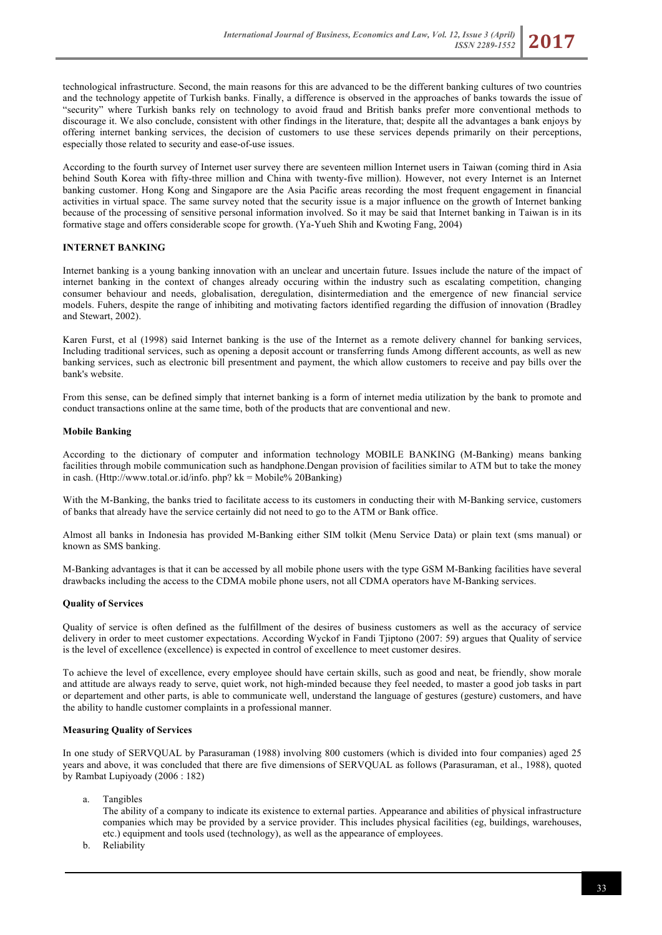technological infrastructure. Second, the main reasons for this are advanced to be the different banking cultures of two countries and the technology appetite of Turkish banks. Finally, a difference is observed in the approaches of banks towards the issue of "security" where Turkish banks rely on technology to avoid fraud and British banks prefer more conventional methods to discourage it. We also conclude, consistent with other findings in the literature, that; despite all the advantages a bank enjoys by offering internet banking services, the decision of customers to use these services depends primarily on their perceptions, especially those related to security and ease-of-use issues.

According to the fourth survey of Internet user survey there are seventeen million Internet users in Taiwan (coming third in Asia behind South Korea with fifty-three million and China with twenty-five million). However, not every Internet is an Internet banking customer. Hong Kong and Singapore are the Asia Pacific areas recording the most frequent engagement in financial activities in virtual space. The same survey noted that the security issue is a major influence on the growth of Internet banking because of the processing of sensitive personal information involved. So it may be said that Internet banking in Taiwan is in its formative stage and offers considerable scope for growth. (Ya-Yueh Shih and Kwoting Fang, 2004)

# **INTERNET BANKING**

Internet banking is a young banking innovation with an unclear and uncertain future. Issues include the nature of the impact of internet banking in the context of changes already occuring within the industry such as escalating competition, changing consumer behaviour and needs, globalisation, deregulation, disintermediation and the emergence of new financial service models. Fuhers, despite the range of inhibiting and motivating factors identified regarding the diffusion of innovation (Bradley and Stewart, 2002).

Karen Furst, et al (1998) said Internet banking is the use of the Internet as a remote delivery channel for banking services, Including traditional services, such as opening a deposit account or transferring funds Among different accounts, as well as new banking services, such as electronic bill presentment and payment, the which allow customers to receive and pay bills over the bank's website.

From this sense, can be defined simply that internet banking is a form of internet media utilization by the bank to promote and conduct transactions online at the same time, both of the products that are conventional and new.

# **Mobile Banking**

According to the dictionary of computer and information technology MOBILE BANKING (M-Banking) means banking facilities through mobile communication such as handphone.Dengan provision of facilities similar to ATM but to take the money in cash. (Http://www.total.or.id/info. php? kk = Mobile% 20Banking)

With the M-Banking, the banks tried to facilitate access to its customers in conducting their with M-Banking service, customers of banks that already have the service certainly did not need to go to the ATM or Bank office.

Almost all banks in Indonesia has provided M-Banking either SIM tolkit (Menu Service Data) or plain text (sms manual) or known as SMS banking.

M-Banking advantages is that it can be accessed by all mobile phone users with the type GSM M-Banking facilities have several drawbacks including the access to the CDMA mobile phone users, not all CDMA operators have M-Banking services.

# **Quality of Services**

Quality of service is often defined as the fulfillment of the desires of business customers as well as the accuracy of service delivery in order to meet customer expectations. According Wyckof in Fandi Tjiptono (2007: 59) argues that Quality of service is the level of excellence (excellence) is expected in control of excellence to meet customer desires.

To achieve the level of excellence, every employee should have certain skills, such as good and neat, be friendly, show morale and attitude are always ready to serve, quiet work, not high-minded because they feel needed, to master a good job tasks in part or departement and other parts, is able to communicate well, understand the language of gestures (gesture) customers, and have the ability to handle customer complaints in a professional manner.

# **Measuring Quality of Services**

In one study of SERVQUAL by Parasuraman (1988) involving 800 customers (which is divided into four companies) aged 25 years and above, it was concluded that there are five dimensions of SERVQUAL as follows (Parasuraman, et al., 1988), quoted by Rambat Lupiyoady (2006 : 182)

- a. Tangibles
	- The ability of a company to indicate its existence to external parties. Appearance and abilities of physical infrastructure companies which may be provided by a service provider. This includes physical facilities (eg, buildings, warehouses, etc.) equipment and tools used (technology), as well as the appearance of employees.
- b. Reliability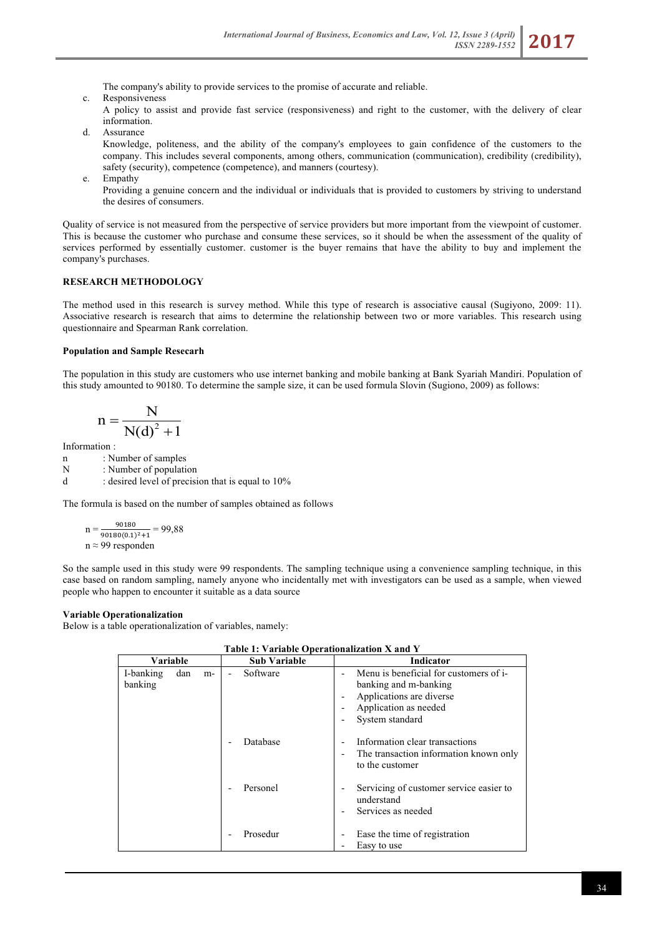The company's ability to provide services to the promise of accurate and reliable.

c. Responsiveness

A policy to assist and provide fast service (responsiveness) and right to the customer, with the delivery of clear information.

d. Assurance

Knowledge, politeness, and the ability of the company's employees to gain confidence of the customers to the company. This includes several components, among others, communication (communication), credibility (credibility), safety (security), competence (competence), and manners (courtesy).

e. Empathy

Providing a genuine concern and the individual or individuals that is provided to customers by striving to understand the desires of consumers.

Quality of service is not measured from the perspective of service providers but more important from the viewpoint of customer. This is because the customer who purchase and consume these services, so it should be when the assessment of the quality of services performed by essentially customer. customer is the buyer remains that have the ability to buy and implement the company's purchases.

# **RESEARCH METHODOLOGY**

The method used in this research is survey method. While this type of research is associative causal (Sugiyono, 2009: 11). Associative research is research that aims to determine the relationship between two or more variables. This research using questionnaire and Spearman Rank correlation.

#### **Population and Sample Resecarh**

The population in this study are customers who use internet banking and mobile banking at Bank Syariah Mandiri. Population of this study amounted to 90180. To determine the sample size, it can be used formula Slovin (Sugiono, 2009) as follows:

$$
n = \frac{N}{N(d)^2 + 1}
$$

Information :

n : Number of samples

N : Number of population<br>d : desired level of precisi : desired level of precision that is equal to  $10\%$ 

The formula is based on the number of samples obtained as follows

n = 
$$
\frac{90180}{90180(0.1)^2 + 1} = 99,88
$$
  
n  $\approx 99$  responden

 So the sample used in this study were 99 respondents. The sampling technique using a convenience sampling technique, in this case based on random sampling, namely anyone who incidentally met with investigators can be used as a sample, when viewed people who happen to encounter it suitable as a data source

# **Variable Operationalization**

Below is a table operationalization of variables, namely:

| Variable             |     |    | <b>Sub Variable</b> | <b>Indicator</b>                                                                                                                        |  |
|----------------------|-----|----|---------------------|-----------------------------------------------------------------------------------------------------------------------------------------|--|
| I-banking<br>banking | dan | m- | Software            | Menu is beneficial for customers of i-<br>banking and m-banking<br>Applications are diverse<br>Application as needed<br>System standard |  |
|                      |     |    | Database            | Information clear transactions<br>The transaction information known only<br>to the customer                                             |  |
|                      |     |    | Personel            | Servicing of customer service easier to<br>understand<br>Services as needed                                                             |  |
|                      |     |    | Prosedur            | Ease the time of registration<br>Easy to use                                                                                            |  |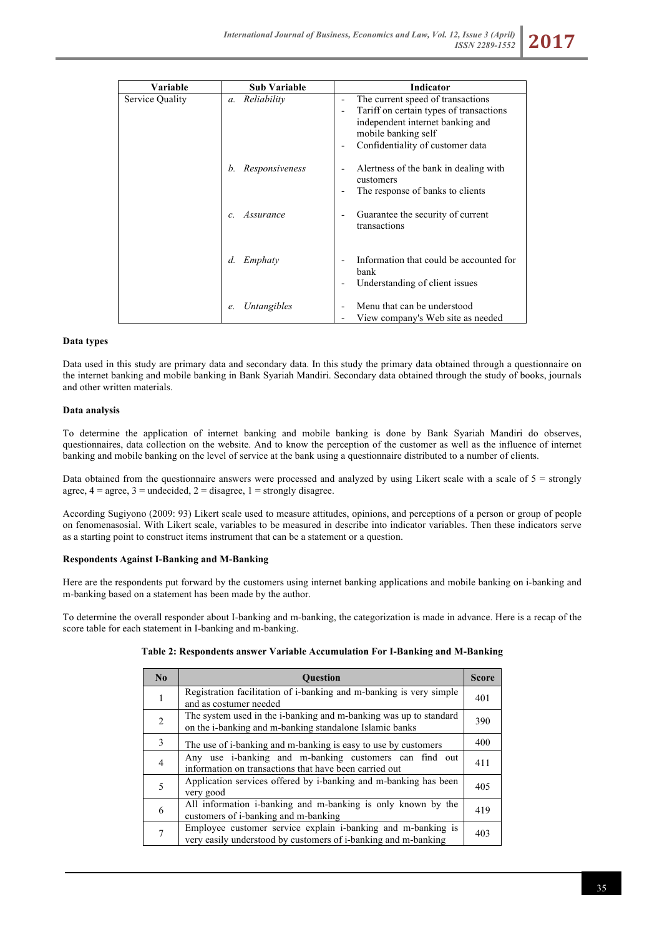| Variable        | <b>Sub Variable</b>             | <b>Indicator</b>                                                                                                                                                            |
|-----------------|---------------------------------|-----------------------------------------------------------------------------------------------------------------------------------------------------------------------------|
| Service Quality | Reliability<br>$\mathfrak{a}$ . | The current speed of transactions<br>Tariff on certain types of transactions<br>independent internet banking and<br>mobile banking self<br>Confidentiality of customer data |
|                 | Responsiveness<br>b.            | Alertness of the bank in dealing with<br>customers<br>The response of banks to clients                                                                                      |
|                 | Assurance<br>$\mathcal{C}$      | Guarantee the security of current<br>transactions                                                                                                                           |
|                 | Emphaty<br>d.                   | Information that could be accounted for<br>bank<br>Understanding of client issues                                                                                           |
|                 | Untangibles<br>e.               | Menu that can be understood<br>View company's Web site as needed                                                                                                            |

#### **Data types**

Data used in this study are primary data and secondary data. In this study the primary data obtained through a questionnaire on the internet banking and mobile banking in Bank Syariah Mandiri. Secondary data obtained through the study of books, journals and other written materials.

#### **Data analysis**

To determine the application of internet banking and mobile banking is done by Bank Syariah Mandiri do observes, questionnaires, data collection on the website. And to know the perception of the customer as well as the influence of internet banking and mobile banking on the level of service at the bank using a questionnaire distributed to a number of clients.

Data obtained from the questionnaire answers were processed and analyzed by using Likert scale with a scale of  $5 =$  strongly agree,  $4 = \text{agree}$ ,  $3 = \text{undecided}$ ,  $2 = \text{disagree}$ ,  $1 = \text{strongly disagree}$ .

According Sugiyono (2009: 93) Likert scale used to measure attitudes, opinions, and perceptions of a person or group of people on fenomenasosial. With Likert scale, variables to be measured in describe into indicator variables. Then these indicators serve as a starting point to construct items instrument that can be a statement or a question.

# **Respondents Against I-Banking and M-Banking**

Here are the respondents put forward by the customers using internet banking applications and mobile banking on i-banking and m-banking based on a statement has been made by the author.

To determine the overall responder about I-banking and m-banking, the categorization is made in advance. Here is a recap of the score table for each statement in I-banking and m-banking.

| Table 2: Respondents answer Variable Accumulation For I-Banking and M-Banking |  |  |
|-------------------------------------------------------------------------------|--|--|
|                                                                               |  |  |

| $\bf No$ | <b>Ouestion</b>                                                                                                                | <b>Score</b> |
|----------|--------------------------------------------------------------------------------------------------------------------------------|--------------|
|          | Registration facilitation of i-banking and m-banking is very simple<br>and as costumer needed                                  | 401          |
| 2        | The system used in the i-banking and m-banking was up to standard<br>on the i-banking and m-banking standalone Islamic banks   | 390          |
| 3        | The use of i-banking and m-banking is easy to use by customers                                                                 | 400          |
| 4        | Any use i-banking and m-banking customers can find out<br>information on transactions that have been carried out               | 411          |
| 5        | Application services offered by i-banking and m-banking has been<br>very good                                                  | 405          |
| 6        | All information i-banking and m-banking is only known by the<br>customers of i-banking and m-banking                           | 419          |
|          | Employee customer service explain i-banking and m-banking is<br>very easily understood by customers of i-banking and m-banking | 403          |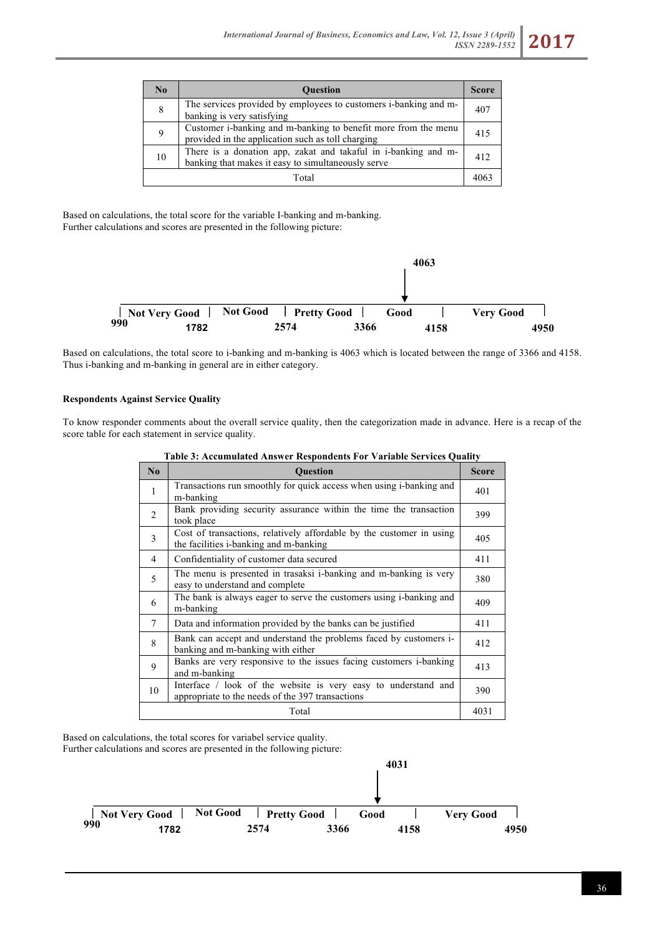| No    | <b>Ouestion</b>                                                                                                      | <b>Score</b> |
|-------|----------------------------------------------------------------------------------------------------------------------|--------------|
| 8     | The services provided by employees to customers i-banking and m-<br>banking is very satisfying                       | 407          |
| 9     | Customer i-banking and m-banking to benefit more from the menu<br>provided in the application such as toll charging  | 415          |
| 10    | There is a donation app, zakat and takaful in i-banking and m-<br>banking that makes it easy to simultaneously serve | 412          |
| Total |                                                                                                                      |              |

Based on calculations, the total score for the variable I-banking and m-banking. Further calculations and scores are presented in the following picture:



Based on calculations, the total score to i-banking and m-banking is 4063 which is located between the range of 3366 and 4158. Thus i-banking and m-banking in general are in either category.

# **Respondents Against Service Quality**

To know responder comments about the overall service quality, then the categorization made in advance. Here is a recap of the score table for each statement in service quality.

| $\bf No$ | <b>Ouestion</b>                                                                                                    | <b>Score</b> |
|----------|--------------------------------------------------------------------------------------------------------------------|--------------|
| 1        | Transactions run smoothly for quick access when using i-banking and<br>m-banking                                   | 401          |
| 2        | Bank providing security assurance within the time the transaction<br>took place                                    | 399          |
| 3        | Cost of transactions, relatively affordable by the customer in using<br>the facilities i-banking and m-banking     | 405          |
| 4        | Confidentiality of customer data secured                                                                           | 411          |
| 5        | The menu is presented in trasaksi i-banking and m-banking is very<br>easy to understand and complete               | 380          |
| 6        | The bank is always eager to serve the customers using i-banking and<br>m-banking                                   | 409          |
| 7        | Data and information provided by the banks can be justified                                                        | 411          |
| 8        | Bank can accept and understand the problems faced by customers i-<br>banking and m-banking with either             | 412          |
| 9        | Banks are very responsive to the issues facing customers i-banking<br>and m-banking                                | 413          |
| 10       | Interface / look of the website is very easy to understand and<br>appropriate to the needs of the 397 transactions | 390          |
| Total    |                                                                                                                    |              |

|  |  | Table 3: Accumulated Answer Respondents For Variable Services Quality |
|--|--|-----------------------------------------------------------------------|
|--|--|-----------------------------------------------------------------------|

Based on calculations, the total scores for variabel service quality. Further calculations and scores are presented in the following picture:

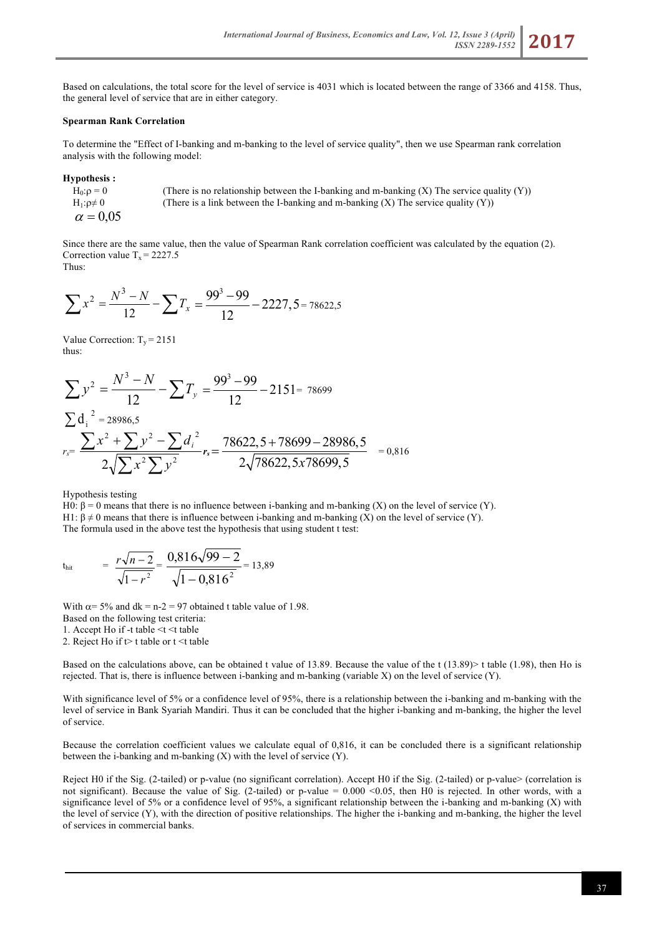Based on calculations, the total score for the level of service is 4031 which is located between the range of 3366 and 4158. Thus, the general level of service that are in either category.

### **Spearman Rank Correlation**

To determine the "Effect of I-banking and m-banking to the level of service quality", then we use Spearman rank correlation analysis with the following model:

**Hypothesis :**

 $H_0: p = 0$  (There is no relationship between the I-banking and m-banking (X) The service quality (Y))  $H_1: \rho \neq 0$  (There is a link between the I-banking and m-banking (X) The service quality (Y))  $\alpha = 0.05$ 

Since there are the same value, then the value of Spearman Rank correlation coefficient was calculated by the equation (2). Correction value  $T_x = 2227.5$ Thus:

$$
\sum x^2 = \frac{N^3 - N}{12} - \sum T_x = \frac{99^3 - 99}{12} - 2227, 5 = 78622, 5
$$

Value Correction:  $T_v = 2151$ thus:

$$
\sum y^2 = \frac{N^3 - N}{12} - \sum T_y = \frac{99^3 - 99}{12} - 2151 = 78699
$$
  

$$
\sum d_i^2 = 28986.5
$$
  

$$
r_s = \frac{\sum x^2 + \sum y^2 - \sum d_i^2}{2\sqrt{\sum x^2 \sum y^2}} r_s = \frac{78622.5 + 78699 - 28986.5}{2\sqrt{78622.5x78699.5}} = 0.816
$$

Hypothesis testing

H0: β = 0 means that there is no influence between i-banking and m-banking (X) on the level of service (Y). H1:  $\beta \neq 0$  means that there is influence between i-banking and m-banking (X) on the level of service (Y). The formula used in the above test the hypothesis that using student t test:

$$
t_{hit} = \frac{r\sqrt{n-2}}{\sqrt{1-r^2}} = \frac{0,816\sqrt{99-2}}{\sqrt{1-0,816^2}} = 13,89
$$

With  $\alpha$ = 5% and dk = n-2 = 97 obtained t table value of 1.98.

Based on the following test criteria:

1. Accept Ho if -t table <t <t table

2. Reject Ho if  $t$  table or t  $\leq t$  table

Based on the calculations above, can be obtained t value of 13.89. Because the value of the t (13.89)> t table (1.98), then Ho is rejected. That is, there is influence between i-banking and m-banking (variable X) on the level of service (Y).

With significance level of 5% or a confidence level of 95%, there is a relationship between the i-banking and m-banking with the level of service in Bank Syariah Mandiri. Thus it can be concluded that the higher i-banking and m-banking, the higher the level of service.

Because the correlation coefficient values we calculate equal of 0,816, it can be concluded there is a significant relationship between the i-banking and m-banking (X) with the level of service (Y).

Reject H0 if the Sig. (2-tailed) or p-value (no significant correlation). Accept H0 if the Sig. (2-tailed) or p-value> (correlation is not significant). Because the value of Sig. (2-tailed) or p-value =  $0.000 \le 0.05$ , then H0 is rejected. In other words, with a significance level of 5% or a confidence level of 95%, a significant relationship between the i-banking and m-banking (X) with the level of service (Y), with the direction of positive relationships. The higher the i-banking and m-banking, the higher the level of services in commercial banks.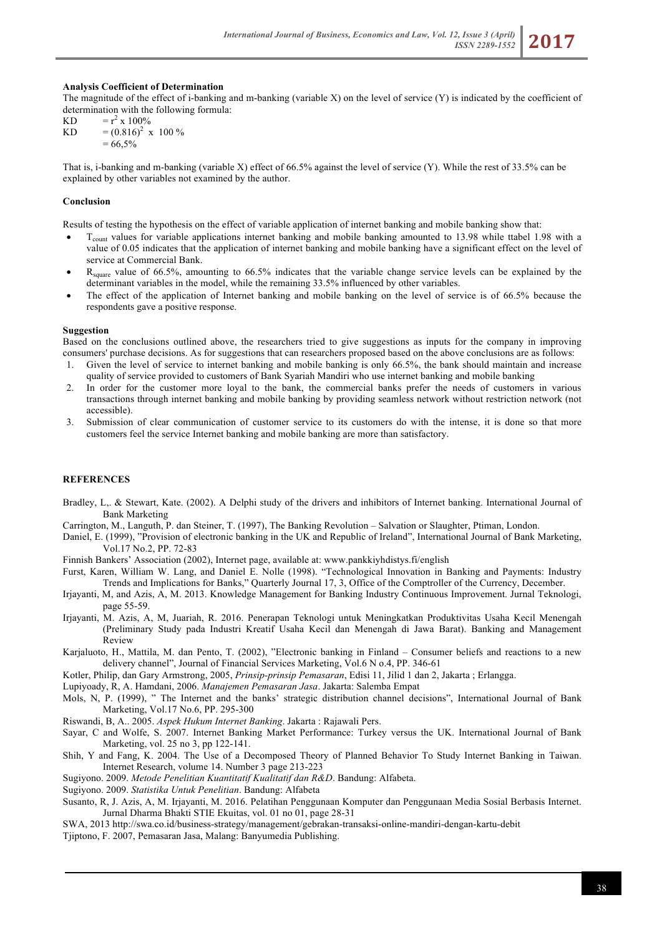### **Analysis Coefficient of Determination**

The magnitude of the effect of i-banking and m-banking (variable X) on the level of service  $(Y)$  is indicated by the coefficient of determination with the following formula:

 $KD = r^2 \times 100\%$ KD  $= (0.816)^2$  x 100 %  $= 66.5\%$ 

That is, i-banking and m-banking (variable X) effect of 66.5% against the level of service (Y). While the rest of 33.5% can be explained by other variables not examined by the author.

#### **Conclusion**

Results of testing the hypothesis on the effect of variable application of internet banking and mobile banking show that:

- $T_{\text{count}}$  values for variable applications internet banking and mobile banking amounted to 13.98 while ttabel 1.98 with a value of 0.05 indicates that the application of internet banking and mobile banking have a significant effect on the level of service at Commercial Bank.
- R<sub>square</sub> value of 66.5%, amounting to 66.5% indicates that the variable change service levels can be explained by the determinant variables in the model, while the remaining 33.5% influenced by other variables.
- The effect of the application of Internet banking and mobile banking on the level of service is of 66.5% because the respondents gave a positive response.

#### **Suggestion**

Based on the conclusions outlined above, the researchers tried to give suggestions as inputs for the company in improving consumers' purchase decisions. As for suggestions that can researchers proposed based on the above conclusions are as follows:

- 1. Given the level of service to internet banking and mobile banking is only 66.5%, the bank should maintain and increase quality of service provided to customers of Bank Syariah Mandiri who use internet banking and mobile banking
- 2. In order for the customer more loyal to the bank, the commercial banks prefer the needs of customers in various transactions through internet banking and mobile banking by providing seamless network without restriction network (not accessible).
- 3. Submission of clear communication of customer service to its customers do with the intense, it is done so that more customers feel the service Internet banking and mobile banking are more than satisfactory.

### **REFERENCES**

- Bradley, L.. & Stewart, Kate. (2002). A Delphi study of the drivers and inhibitors of Internet banking. International Journal of Bank Marketing
- Carrington, M., Languth, P. dan Steiner, T. (1997), The Banking Revolution Salvation or Slaughter, Ptiman, London.
- Daniel, E. (1999), "Provision of electronic banking in the UK and Republic of Ireland", International Journal of Bank Marketing, Vol.17 No.2, PP. 72-83
- Finnish Bankers' Association (2002), Internet page, available at: www.pankkiyhdistys.fi/english
- Furst, Karen, William W. Lang, and Daniel E. Nolle (1998). "Technological Innovation in Banking and Payments: Industry Trends and Implications for Banks," Quarterly Journal 17, 3, Office of the Comptroller of the Currency, December.
- Irjayanti, M, and Azis, A, M. 2013. Knowledge Management for Banking Industry Continuous Improvement. Jurnal Teknologi, page 55-59.
- Irjayanti, M. Azis, A, M, Juariah, R. 2016. Penerapan Teknologi untuk Meningkatkan Produktivitas Usaha Kecil Menengah (Preliminary Study pada Industri Kreatif Usaha Kecil dan Menengah di Jawa Barat). Banking and Management Review
- Karjaluoto, H., Mattila, M. dan Pento, T. (2002), "Electronic banking in Finland Consumer beliefs and reactions to a new delivery channel", Journal of Financial Services Marketing, Vol.6 N o.4, PP. 346-61
- Kotler, Philip, dan Gary Armstrong, 2005, *Prinsip-prinsip Pemasaran*, Edisi 11, Jilid 1 dan 2, Jakarta ; Erlangga.

Lupiyoady, R, A. Hamdani, 2006. *Manajemen Pemasaran Jasa*. Jakarta: Salemba Empat

- Mols, N, P. (1999), " The Internet and the banks' strategic distribution channel decisions", International Journal of Bank Marketing, Vol.17 No.6, PP. 295-300
- Riswandi, B, A.. 2005. *Aspek Hukum Internet Banking*. Jakarta : Rajawali Pers.
- Sayar, C and Wolfe, S. 2007. Internet Banking Market Performance: Turkey versus the UK. International Journal of Bank Marketing, vol. 25 no 3, pp 122-141.
- Shih, Y and Fang, K. 2004. The Use of a Decomposed Theory of Planned Behavior To Study Internet Banking in Taiwan. Internet Research, volume 14. Number 3 page 213-223
- Sugiyono. 2009. *Metode Penelitian Kuantitatif Kualitatif dan R&D*. Bandung: Alfabeta.

Sugiyono. 2009. *Statistika Untuk Penelitian*. Bandung: Alfabeta

- Susanto, R, J. Azis, A, M. Irjayanti, M. 2016. Pelatihan Penggunaan Komputer dan Penggunaan Media Sosial Berbasis Internet. Jurnal Dharma Bhakti STIE Ekuitas, vol. 01 no 01, page 28-31
- SWA, 2013 http://swa.co.id/business-strategy/management/gebrakan-transaksi-online-mandiri-dengan-kartu-debit Tjiptono, F. 2007, Pemasaran Jasa, Malang: Banyumedia Publishing.